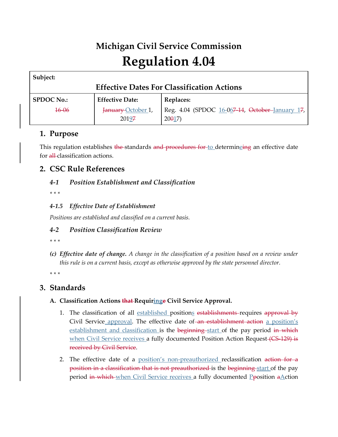# **Michigan Civil Service Commission Regulation 4.04**

| Subject:                                          |                        |                                                 |  |  |
|---------------------------------------------------|------------------------|-------------------------------------------------|--|--|
| <b>Effective Dates For Classification Actions</b> |                        |                                                 |  |  |
| <b>SPDOC No.:</b>                                 | <b>Effective Date:</b> | <b>Replaces:</b>                                |  |  |
| $16 - 06$                                         | January-October 1,     | Reg. 4.04 (SPDOC 16-067-14, October-January 17, |  |  |
|                                                   | 20197                  | $20017$ )                                       |  |  |

# **1. Purpose**

This regulation establishes the standards and procedures for to determineing an effective date for all-classification actions.

# **2. CSC Rule References**

# *4-1 Position Establishment and Classification*

*\* \* \** 

# *4-1.5 Effective Date of Establishment*

*Positions are established and classified on a current basis.*

# *4-2 Position Classification Review*

*\* \* \** 

*(c) Effective date of change. A change in the classification of a position based on a review under this rule is on a current basis, except as otherwise approved by the state personnel director.*

*\* \* \** 

# **3. Standards**

# **A. Classification Actions that Requiringe Civil Service Approval.**

- 1. The classification of all established positions establishments requires approval by Civil Service approval. The effective date of an establishment action a position's establishment and classification is the beginning start of the pay period in which when Civil Service receives a fully documented Position Action Request (CS 129) is received by Civil Service.
- 2. The effective date of a position's non-preauthorized reclassification action for a position in a classification that is not preauthorized is the beginning start of the pay period in which when Civil Service receives a fully documented Pposition aAction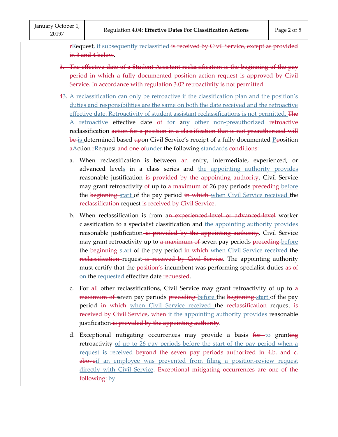rRequest, if subsequently reclassified is received by Civil Service, except as provided in 3 and 4 below.

- 3. The effective date of a Student Assistant reclassification is the beginning of the pay period in which a fully documented position action request is approved by Civil Service. In accordance with regulation 3.02 retroactivity is not permitted.
- 43. A reclassification can only be retroactive if the classification plan and the position's duties and responsibilities are the same on both the date received and the retroactive effective date. Retroactivity of student assistant reclassifications is not permitted. The A retroactive effective date of for any other non-preauthorized retroactive reclassification action for a position in a classification that is not preauthorized will <del>be is determined based up</del>on Civil Service's receipt of a fully documented <u>P</u><del>p</del>osition aAction rRequest and one of under the following standards conditions: The equalsion 4.04: Effective Dates For Classification Actions<br>
Fage 2 of :<br>
FRequest, if subsequently reclassified is received by Civil Service, except as provided<br>
in 3 and 4 below.<br>
3. The effective date of a Student As
	- a. When reclassification is between an entry, intermediate, experienced, or advanced levels in a class series and the appointing authority provides reasonable justification-is provided by the appointing authority, Civil Service may grant retroactivity of up to a maximum of 26 pay periods preceding before the beginning start of the pay period in which when Civil Service received the reclassification request is received by Civil Service.
	- b. When reclassification is from an experienced level or advanced level worker classification to a specialist classification and the appointing authority provides reasonable justification-is provided by the appointing authority, Civil Service may grant retroactivity up to a maximum of seven pay periods preceding before the beginning start of the pay period in which when Civil Service received the reclassification request is received by Civil Service. The appointing authority must certify that the position's incumbent was performing specialist duties as of on the requested effective date requested.
	- c. For  $\frac{1}{2}$  other reclassifications, Civil Service may grant retroactivity of up to  $\frac{1}{2}$ maximum of seven pay periods preceding before the beginning start of the pay period in which when Civil Service received the reclassification request is received by Civil Service, when if the appointing authority provides reasonable justification is provided by the appointing authority.
	- d. Exceptional mitigating occurrences may provide a basis for to granting retroactivity of up to 26 pay periods before the start of the pay period when a request is received beyond the seven pay periods authorized in 4.b. and c. aboveif an employee was prevented from filing a position-review request directly with Civil Service. Exceptional mitigating occurrences are one of the following: by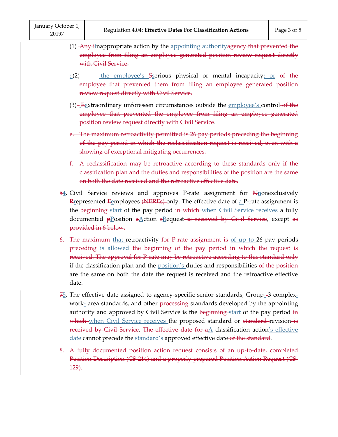- (1)\_<del>Any i</del>inappropriate action by the <u>appointing authority<del>agency that prevented the</del></u> employee from filing an employee generated position review request directly with Civil Service.
- $\frac{1}{2}$  the employee's Secrious physical or mental incapacity; or of the employee that prevented them from filing an employee generated position review request directly with Civil Service.
- (3)- $E$ extraordinary unforeseen circumstances outside the employee's control-of the employee that prevented the employee from filing an employee generated position review request directly with Civil Service.
- e. The maximum retroactivity permitted is 26 pay periods preceding the beginning of the pay period in which the reclassification request is received, even with a showing of exceptional mitigating occurrences.
- f. A reclassification may be retroactive according to these standards only if the classification plan and the duties and responsibilities of the position are the same on both the date received and the retroactive effective date.
- $\frac{54}{4}$ . Civil Service reviews and approves P-rate assignment for  $N_{\text{nonexclusively}}$  $R$  epresented  $R$  employees (NEREs) only. The effective date of  $R$  P-rate assignment is the beginning start of the pay period in which when Civil Service receives a fully documented plosition a Action FRequest is received by Civil Service, except as provided in 6 below.
- 6. The maximum-that retroactivity for P rate assignment is of up to 26 pay periods preceding is allowed the beginning of the pay period in which the request is received. The approval for P-rate may be retroactive according to this standard only if the classification plan and the <u>position's</u> duties and responsibilities of the position are the same on both the date the request is received and the retroactive effective date.
- $75$ . The effective date assigned to agency-specific senior standards,  $Group_{-}3$  complexwork-area standards, and other processing standards developed by the appointing authority and approved by Civil Service is the beginning start of the pay period in which when Civil Service receives the proposed standard or standard revision is received by Civil Service. The effective date for  $aA$  classification action's effective date cannot precede the standard's approved effective date of the standard.
- 8. A fully documented position action request consists of an up-to-date, completed Position Description (CS-214) and a properly prepared Position Action Request (CS-129).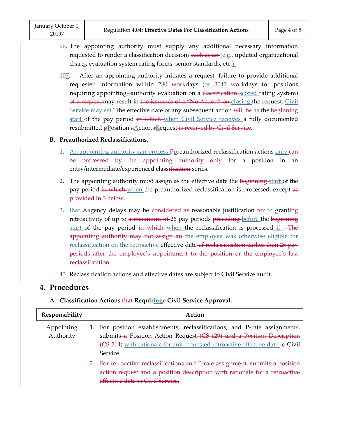- $96$ . The appointing authority must supply any additional necessary information requested to render a classification decision, such as an  $(e.g.,$  updated organizational charts, evaluation system rating forms, senior standards, etc.).
- 107. After an appointing authority initiates a request, failure to provide additional requested information within  $280$  workdays (or  $3042$  workdays for positions requiring appointing-authority evaluation on a classification scored rating system) of a request may result in the issuance of a "No Action" on closing the request. Civil <u>Service may set <del>T</del>t</u>he effective date of any subsequent action <del>will be <u>as</u> the beginning</del> start of the pay period in which when Civil Service receives a fully documented resubmitted pPosition aAction rRequest is received by Civil Service. - - - - requested information within 280<br>requiring appointing--authority evalue<br>of a request may result in the issuance<br>Service may set  $\pm$ the effective date of<br>start of the pay period in which-wh<br>resubmitted  $p$  position a Acti

#### **B. Preauthorized Reclassifications.**

- 1. An appointing authority can process Ppreauthorized reclassification actions only ean be processed by the appointing authority only for a position in an entry/intermediate/experienced classification series.
- 2. The appointing authority must assign as the effective date the beginning start of the pay period in which when the preauthorized reclassification is processed, except as provided in 3 below.
- 3. that Aagency delays may be considered as reasonable justification for to granting retroactivity of up to a maximum of 26 pay periods preceding before the beginning start of the pay period in which when the reclassification is processed if. appointing authority may not assign an the employee was otherwise eligible for reclassification on the retroactive effective date-of reclassification earlier than 26 pay periods after the employee's appointment to the position or the employee's last reclassification.
- 43. Reclassification actions and effective dates are subject to Civil Service audit.

# **4. Procedures**

#### **A. Classification Actions that Requiringe Civil Service Approval.**

| Responsibility          | Action                                                                                                                                                                                                                                           |  |
|-------------------------|--------------------------------------------------------------------------------------------------------------------------------------------------------------------------------------------------------------------------------------------------|--|
| Appointing<br>Authority | 1. For position establishments, reclassifications, and P-rate assignments,<br>submits a Position Action Request (CS 129) and a Position Description<br>(CS 214) with rationale for any requested retroactive effective date to Civil<br>Service. |  |
|                         | For retroactive reclassifications and P rate assignment, submits a position<br>action request and a position description with rationale for a retroactive<br>effective date to Civil Service                                                     |  |